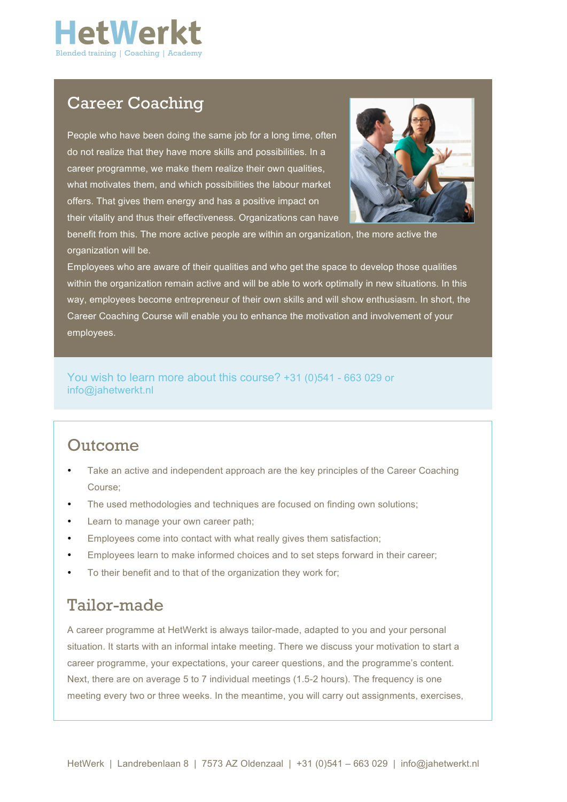

## Career Coaching

People who have been doing the same job for a long time, often do not realize that they have more skills and possibilities. In a career programme, we make them realize their own qualities, what motivates them, and which possibilities the labour market offers. That gives them energy and has a positive impact on their vitality and thus their effectiveness. Organizations can have



benefit from this. The more active people are within an organization, the more active the organization will be.

Employees who are aware of their qualities and who get the space to develop those qualities within the organization remain active and will be able to work optimally in new situations. In this way, employees become entrepreneur of their own skills and will show enthusiasm. In short, the Career Coaching Course will enable you to enhance the motivation and involvement of your employees.

You wish to learn more about this course? +31 (0)541 - 663 029 or info@jahetwerkt.nl

#### Outcome

- Take an active and independent approach are the key principles of the Career Coaching Course;
- The used methodologies and techniques are focused on finding own solutions;
- Learn to manage your own career path;
- Employees come into contact with what really gives them satisfaction;
- Employees learn to make informed choices and to set steps forward in their career;
- To their benefit and to that of the organization they work for:

### Tailor-made

A career programme at HetWerkt is always tailor-made, adapted to you and your personal situation. It starts with an informal intake meeting. There we discuss your motivation to start a career programme, your expectations, your career questions, and the programme's content. Next, there are on average 5 to 7 individual meetings (1.5-2 hours). The frequency is one meeting every two or three weeks. In the meantime, you will carry out assignments, exercises,